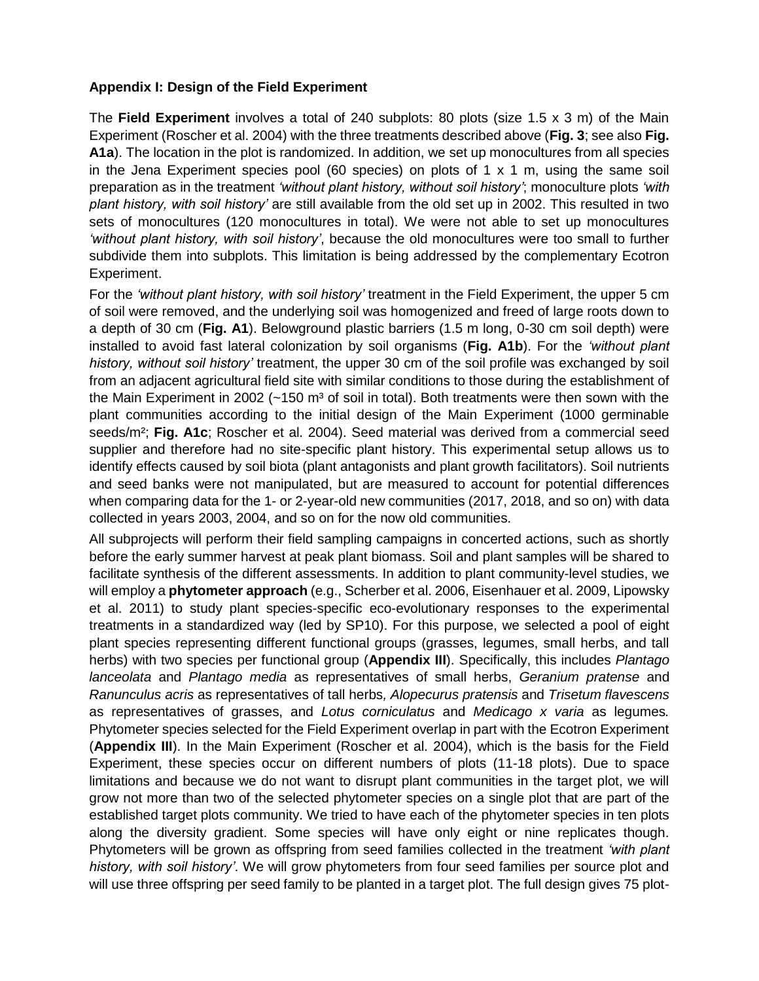## **Appendix I: Design of the Field Experiment**

The **Field Experiment** involves a total of 240 subplots: 80 plots (size 1.5 x 3 m) of the Main Experiment (Roscher et al. 2004) with the three treatments described above (**Fig. 3**; see also **Fig. A1a**). The location in the plot is randomized. In addition, we set up monocultures from all species in the Jena Experiment species pool (60 species) on plots of 1 x 1 m, using the same soil preparation as in the treatment *'without plant history, without soil history'*; monoculture plots *'with plant history, with soil history'* are still available from the old set up in 2002. This resulted in two sets of monocultures (120 monocultures in total). We were not able to set up monocultures *'without plant history, with soil history'*, because the old monocultures were too small to further subdivide them into subplots. This limitation is being addressed by the complementary Ecotron Experiment.

For the *'without plant history, with soil history'* treatment in the Field Experiment, the upper 5 cm of soil were removed, and the underlying soil was homogenized and freed of large roots down to a depth of 30 cm (**Fig. A1**). Belowground plastic barriers (1.5 m long, 0-30 cm soil depth) were installed to avoid fast lateral colonization by soil organisms (**Fig. A1b**). For the *'without plant history, without soil history'* treatment, the upper 30 cm of the soil profile was exchanged by soil from an adjacent agricultural field site with similar conditions to those during the establishment of the Main Experiment in 2002  $(-150 \text{ m}^3 \text{ of soil in total})$ . Both treatments were then sown with the plant communities according to the initial design of the Main Experiment (1000 germinable seeds/m²; **Fig. A1c**; Roscher et al. 2004). Seed material was derived from a commercial seed supplier and therefore had no site-specific plant history. This experimental setup allows us to identify effects caused by soil biota (plant antagonists and plant growth facilitators). Soil nutrients and seed banks were not manipulated, but are measured to account for potential differences when comparing data for the 1- or 2-year-old new communities (2017, 2018, and so on) with data collected in years 2003, 2004, and so on for the now old communities.

All subprojects will perform their field sampling campaigns in concerted actions, such as shortly before the early summer harvest at peak plant biomass. Soil and plant samples will be shared to facilitate synthesis of the different assessments. In addition to plant community-level studies, we will employ a **phytometer approach** (e.g., Scherber et al. 2006, Eisenhauer et al. 2009, Lipowsky et al. 2011) to study plant species-specific eco-evolutionary responses to the experimental treatments in a standardized way (led by SP10). For this purpose, we selected a pool of eight plant species representing different functional groups (grasses, legumes, small herbs, and tall herbs) with two species per functional group (**Appendix III**). Specifically, this includes *Plantago lanceolata* and *Plantago media* as representatives of small herbs, *Geranium pratense* and *Ranunculus acris* as representatives of tall herbs*, Alopecurus pratensis* and *Trisetum flavescens* as representatives of grasses, and *Lotus corniculatus* and *Medicago x varia* as legumes*.*  Phytometer species selected for the Field Experiment overlap in part with the Ecotron Experiment (**Appendix III**). In the Main Experiment (Roscher et al. 2004), which is the basis for the Field Experiment, these species occur on different numbers of plots (11-18 plots). Due to space limitations and because we do not want to disrupt plant communities in the target plot, we will grow not more than two of the selected phytometer species on a single plot that are part of the established target plots community. We tried to have each of the phytometer species in ten plots along the diversity gradient. Some species will have only eight or nine replicates though. Phytometers will be grown as offspring from seed families collected in the treatment *'with plant history, with soil history'*. We will grow phytometers from four seed families per source plot and will use three offspring per seed family to be planted in a target plot. The full design gives 75 plot